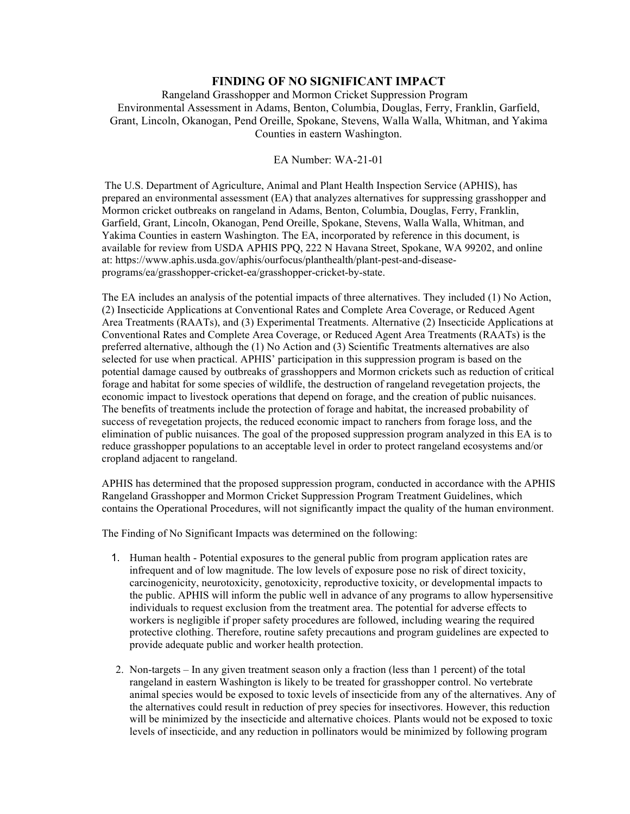## **FINDING OF NO SIGNIFICANT IMPACT**

Rangeland Grasshopper and Mormon Cricket Suppression Program Environmental Assessment in Adams, Benton, Columbia, Douglas, Ferry, Franklin, Garfield, Grant, Lincoln, Okanogan, Pend Oreille, Spokane, Stevens, Walla Walla, Whitman, and Yakima Counties in eastern Washington.

## EA Number: WA-21-01

The U.S. Department of Agriculture, Animal and Plant Health Inspection Service (APHIS), has prepared an environmental assessment (EA) that analyzes alternatives for suppressing grasshopper and Mormon cricket outbreaks on rangeland in Adams, Benton, Columbia, Douglas, Ferry, Franklin, Garfield, Grant, Lincoln, Okanogan, Pend Oreille, Spokane, Stevens, Walla Walla, Whitman, and Yakima Counties in eastern Washington. The EA, incorporated by reference in this document, is available for review from USDA APHIS PPQ, 222 N Havana Street, Spokane, WA 99202, and online at: https://www.aphis.usda.gov/aphis/ourfocus/planthealth/plant-pest-and-diseaseprograms/ea/grasshopper-cricket-ea/grasshopper-cricket-by-state.

The EA includes an analysis of the potential impacts of three alternatives. They included (1) No Action, (2) Insecticide Applications at Conventional Rates and Complete Area Coverage, or Reduced Agent Area Treatments (RAATs), and (3) Experimental Treatments. Alternative (2) Insecticide Applications at Conventional Rates and Complete Area Coverage, or Reduced Agent Area Treatments (RAATs) is the preferred alternative, although the (1) No Action and (3) Scientific Treatments alternatives are also selected for use when practical. APHIS' participation in this suppression program is based on the potential damage caused by outbreaks of grasshoppers and Mormon crickets such as reduction of critical forage and habitat for some species of wildlife, the destruction of rangeland revegetation projects, the economic impact to livestock operations that depend on forage, and the creation of public nuisances. The benefits of treatments include the protection of forage and habitat, the increased probability of success of revegetation projects, the reduced economic impact to ranchers from forage loss, and the elimination of public nuisances. The goal of the proposed suppression program analyzed in this EA is to reduce grasshopper populations to an acceptable level in order to protect rangeland ecosystems and/or cropland adjacent to rangeland.

APHIS has determined that the proposed suppression program, conducted in accordance with the APHIS Rangeland Grasshopper and Mormon Cricket Suppression Program Treatment Guidelines, which contains the Operational Procedures, will not significantly impact the quality of the human environment.

The Finding of No Significant Impacts was determined on the following:

- 1. Human health Potential exposures to the general public from program application rates are infrequent and of low magnitude. The low levels of exposure pose no risk of direct toxicity, carcinogenicity, neurotoxicity, genotoxicity, reproductive toxicity, or developmental impacts to the public. APHIS will inform the public well in advance of any programs to allow hypersensitive individuals to request exclusion from the treatment area. The potential for adverse effects to workers is negligible if proper safety procedures are followed, including wearing the required protective clothing. Therefore, routine safety precautions and program guidelines are expected to provide adequate public and worker health protection.
- 2. Non-targets In any given treatment season only a fraction (less than 1 percent) of the total rangeland in eastern Washington is likely to be treated for grasshopper control. No vertebrate animal species would be exposed to toxic levels of insecticide from any of the alternatives. Any of the alternatives could result in reduction of prey species for insectivores. However, this reduction will be minimized by the insecticide and alternative choices. Plants would not be exposed to toxic levels of insecticide, and any reduction in pollinators would be minimized by following program